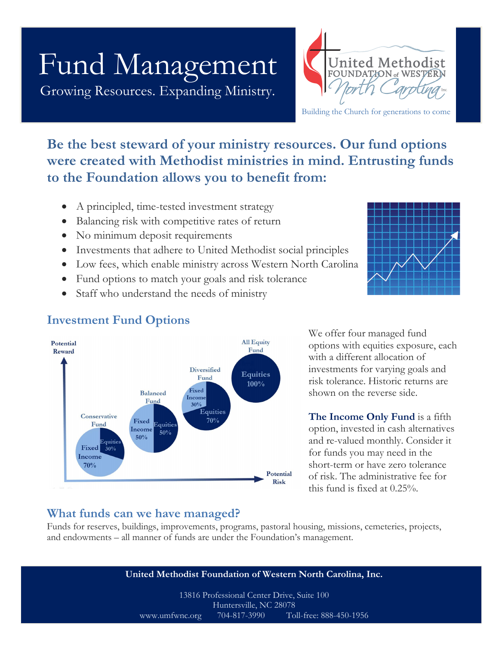# Fund Management

Growing Resources. Expanding Ministry.



Building the Church for generations to come

## **Be the best steward of your ministry resources. Our fund options were created with Methodist ministries in mind. Entrusting funds to the Foundation allows you to benefit from:**

- A principled, time-tested investment strategy
- Balancing risk with competitive rates of return
- No minimum deposit requirements
- Investments that adhere to United Methodist social principles
- Low fees, which enable ministry across Western North Carolina
- Fund options to match your goals and risk tolerance
- Staff who understand the needs of ministry



### **Investment Fund Options**



We offer four managed fund options with equities exposure, each with a different allocation of investments for varying goals and risk tolerance. Historic returns are shown on the reverse side.

**The Income Only Fund** is a fifth option, invested in cash alternatives and re-valued monthly. Consider it for funds you may need in the short-term or have zero tolerance of risk. The administrative fee for this fund is fixed at 0.25%.

### **What funds can we have managed?**

Funds for reserves, buildings, improvements, programs, pastoral housing, missions, cemeteries, projects, and endowments – all manner of funds are under the Foundation's management.

**United Methodist Foundation of Western North Carolina, Inc.** 13816 Professional Center Drive, Suite 100 Huntersville, NC 28078 www.umfwnc.org 704-817-3990 Toll-free: 888-450-1956